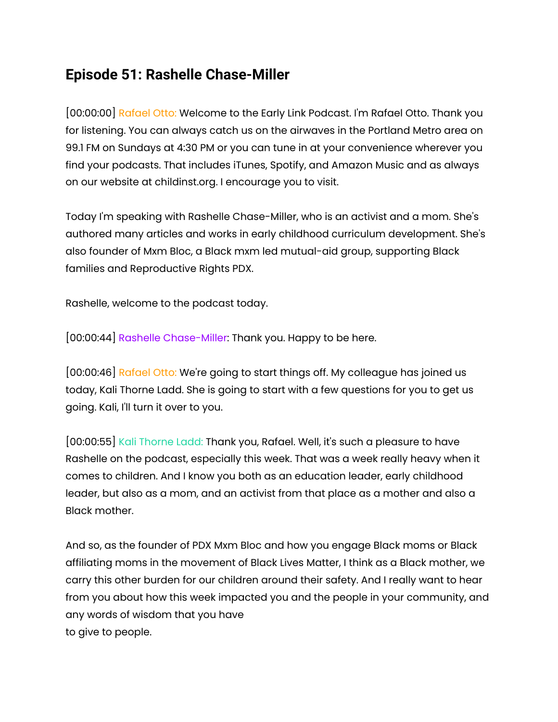## **Episode 51: Rashelle Chase-Miller**

[00:00:00] Rafael Otto: Welcome to the Early Link Podcast. I'm Rafael Otto. Thank you for listening. You can always catch us on the airwaves in the Portland Metro area on 99.1 FM on Sundays at 4:30 PM or you can tune in at your convenience wherever you find your podcasts. That includes iTunes, Spotify, and Amazon Music and as always on our website at childinst.org. I encourage you to visit.

Today I'm speaking with Rashelle Chase-Miller, who is an activist and a mom. She's authored many articles and works in early childhood curriculum development. She's also founder of Mxm Bloc, a Black mxm led mutual-aid group, supporting Black families and Reproductive Rights PDX.

Rashelle, welcome to the podcast today.

[00:00:44] Rashelle Chase-Miller: Thank you. Happy to be here.

[00:00:46] Rafael Otto: We're going to start things off. My colleague has joined us today, Kali Thorne Ladd. She is going to start with a few questions for you to get us going. Kali, I'll turn it over to you.

[00:00:55] Kali Thorne Ladd: Thank you, Rafael. Well, it's such a pleasure to have Rashelle on the podcast, especially this week. That was a week really heavy when it comes to children. And I know you both as an education leader, early childhood leader, but also as a mom, and an activist from that place as a mother and also a Black mother.

And so, as the founder of PDX Mxm Bloc and how you engage Black moms or Black affiliating moms in the movement of Black Lives Matter, I think as a Black mother, we carry this other burden for our children around their safety. And I really want to hear from you about how this week impacted you and the people in your community, and any words of wisdom that you have to give to people.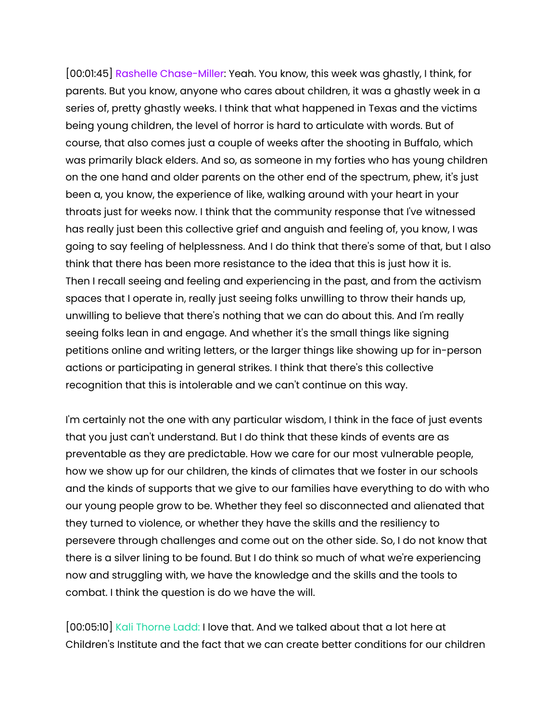[00:01:45] Rashelle Chase-Miller: Yeah. You know, this week was ghastly, I think, for parents. But you know, anyone who cares about children, it was a ghastly week in a series of, pretty ghastly weeks. I think that what happened in Texas and the victims being young children, the level of horror is hard to articulate with words. But of course, that also comes just a couple of weeks after the shooting in Buffalo, which was primarily black elders. And so, as someone in my forties who has young children on the one hand and older parents on the other end of the spectrum, phew, it's just been a, you know, the experience of like, walking around with your heart in your throats just for weeks now. I think that the community response that I've witnessed has really just been this collective grief and anguish and feeling of, you know, I was going to say feeling of helplessness. And I do think that there's some of that, but I also think that there has been more resistance to the idea that this is just how it is. Then I recall seeing and feeling and experiencing in the past, and from the activism spaces that I operate in, really just seeing folks unwilling to throw their hands up, unwilling to believe that there's nothing that we can do about this. And I'm really seeing folks lean in and engage. And whether it's the small things like signing petitions online and writing letters, or the larger things like showing up for in-person actions or participating in general strikes. I think that there's this collective recognition that this is intolerable and we can't continue on this way.

I'm certainly not the one with any particular wisdom, I think in the face of just events that you just can't understand. But I do think that these kinds of events are as preventable as they are predictable. How we care for our most vulnerable people, how we show up for our children, the kinds of climates that we foster in our schools and the kinds of supports that we give to our families have everything to do with who our young people grow to be. Whether they feel so disconnected and alienated that they turned to violence, or whether they have the skills and the resiliency to persevere through challenges and come out on the other side. So, I do not know that there is a silver lining to be found. But I do think so much of what we're experiencing now and struggling with, we have the knowledge and the skills and the tools to combat. I think the question is do we have the will.

[00:05:10] Kali Thorne Ladd: I love that. And we talked about that a lot here at Children's Institute and the fact that we can create better conditions for our children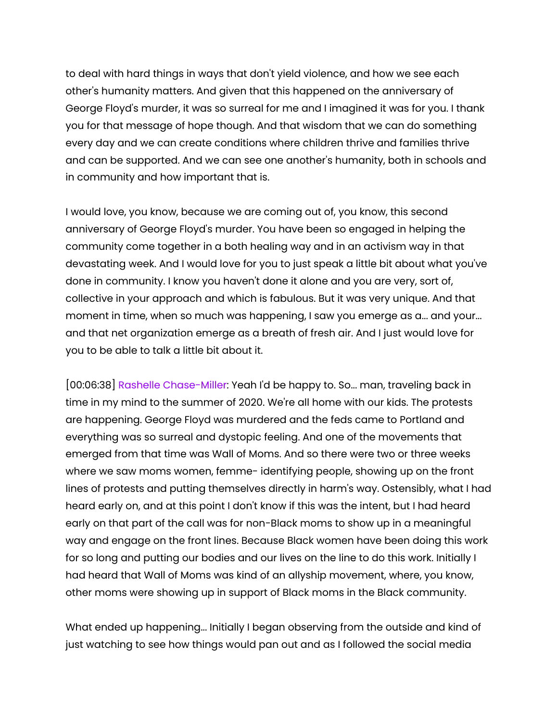to deal with hard things in ways that don't yield violence, and how we see each other's humanity matters. And given that this happened on the anniversary of George Floyd's murder, it was so surreal for me and I imagined it was for you. I thank you for that message of hope though. And that wisdom that we can do something every day and we can create conditions where children thrive and families thrive and can be supported. And we can see one another's humanity, both in schools and in community and how important that is.

I would love, you know, because we are coming out of, you know, this second anniversary of George Floyd's murder. You have been so engaged in helping the community come together in a both healing way and in an activism way in that devastating week. And I would love for you to just speak a little bit about what you've done in community. I know you haven't done it alone and you are very, sort of, collective in your approach and which is fabulous. But it was very unique. And that moment in time, when so much was happening, I saw you emerge as a... and your... and that net organization emerge as a breath of fresh air. And I just would love for you to be able to talk a little bit about it.

[00:06:38] Rashelle Chase-Miller: Yeah I'd be happy to. So... man, traveling back in time in my mind to the summer of 2020. We're all home with our kids. The protests are happening. George Floyd was murdered and the feds came to Portland and everything was so surreal and dystopic feeling. And one of the movements that emerged from that time was Wall of Moms. And so there were two or three weeks where we saw moms women, femme- identifying people, showing up on the front lines of protests and putting themselves directly in harm's way. Ostensibly, what I had heard early on, and at this point I don't know if this was the intent, but I had heard early on that part of the call was for non-Black moms to show up in a meaningful way and engage on the front lines. Because Black women have been doing this work for so long and putting our bodies and our lives on the line to do this work. Initially I had heard that Wall of Moms was kind of an allyship movement, where, you know, other moms were showing up in support of Black moms in the Black community.

What ended up happening... Initially I began observing from the outside and kind of just watching to see how things would pan out and as I followed the social media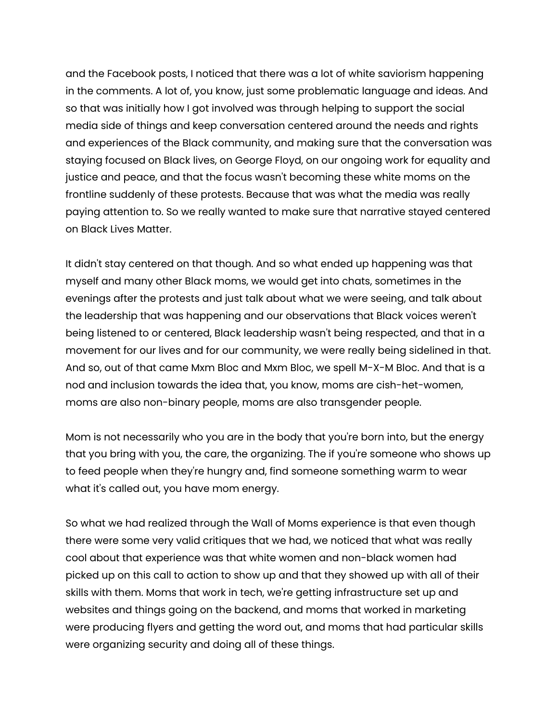and the Facebook posts, I noticed that there was a lot of white saviorism happening in the comments. A lot of, you know, just some problematic language and ideas. And so that was initially how I got involved was through helping to support the social media side of things and keep conversation centered around the needs and rights and experiences of the Black community, and making sure that the conversation was staying focused on Black lives, on George Floyd, on our ongoing work for equality and justice and peace, and that the focus wasn't becoming these white moms on the frontline suddenly of these protests. Because that was what the media was really paying attention to. So we really wanted to make sure that narrative stayed centered on Black Lives Matter.

It didn't stay centered on that though. And so what ended up happening was that myself and many other Black moms, we would get into chats, sometimes in the evenings after the protests and just talk about what we were seeing, and talk about the leadership that was happening and our observations that Black voices weren't being listened to or centered, Black leadership wasn't being respected, and that in a movement for our lives and for our community, we were really being sidelined in that. And so, out of that came Mxm Bloc and Mxm Bloc, we spell M-X-M Bloc. And that is a nod and inclusion towards the idea that, you know, moms are cish-het-women, moms are also non-binary people, moms are also transgender people.

Mom is not necessarily who you are in the body that you're born into, but the energy that you bring with you, the care, the organizing. The if you're someone who shows up to feed people when they're hungry and, find someone something warm to wear what it's called out, you have mom energy.

So what we had realized through the Wall of Moms experience is that even though there were some very valid critiques that we had, we noticed that what was really cool about that experience was that white women and non-black women had picked up on this call to action to show up and that they showed up with all of their skills with them. Moms that work in tech, we're getting infrastructure set up and websites and things going on the backend, and moms that worked in marketing were producing flyers and getting the word out, and moms that had particular skills were organizing security and doing all of these things.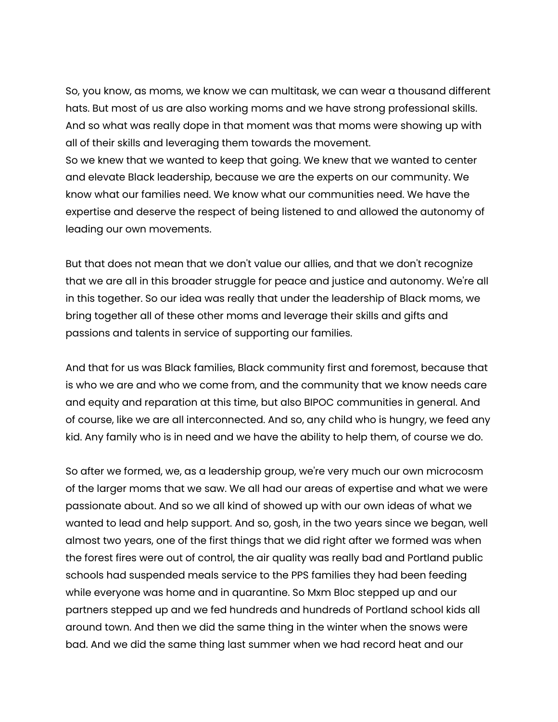So, you know, as moms, we know we can multitask, we can wear a thousand different hats. But most of us are also working moms and we have strong professional skills. And so what was really dope in that moment was that moms were showing up with all of their skills and leveraging them towards the movement.

So we knew that we wanted to keep that going. We knew that we wanted to center and elevate Black leadership, because we are the experts on our community. We know what our families need. We know what our communities need. We have the expertise and deserve the respect of being listened to and allowed the autonomy of leading our own movements.

But that does not mean that we don't value our allies, and that we don't recognize that we are all in this broader struggle for peace and justice and autonomy. We're all in this together. So our idea was really that under the leadership of Black moms, we bring together all of these other moms and leverage their skills and gifts and passions and talents in service of supporting our families.

And that for us was Black families, Black community first and foremost, because that is who we are and who we come from, and the community that we know needs care and equity and reparation at this time, but also BIPOC communities in general. And of course, like we are all interconnected. And so, any child who is hungry, we feed any kid. Any family who is in need and we have the ability to help them, of course we do.

So after we formed, we, as a leadership group, we're very much our own microcosm of the larger moms that we saw. We all had our areas of expertise and what we were passionate about. And so we all kind of showed up with our own ideas of what we wanted to lead and help support. And so, gosh, in the two years since we began, well almost two years, one of the first things that we did right after we formed was when the forest fires were out of control, the air quality was really bad and Portland public schools had suspended meals service to the PPS families they had been feeding while everyone was home and in quarantine. So Mxm Bloc stepped up and our partners stepped up and we fed hundreds and hundreds of Portland school kids all around town. And then we did the same thing in the winter when the snows were bad. And we did the same thing last summer when we had record heat and our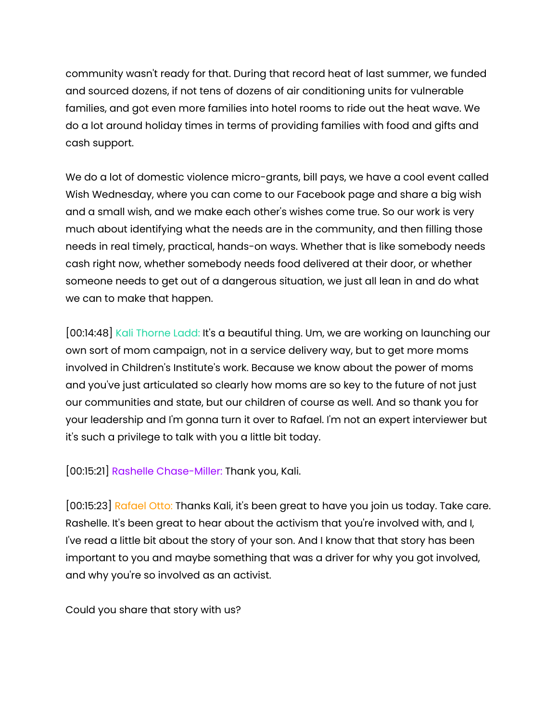community wasn't ready for that. During that record heat of last summer, we funded and sourced dozens, if not tens of dozens of air conditioning units for vulnerable families, and got even more families into hotel rooms to ride out the heat wave. We do a lot around holiday times in terms of providing families with food and gifts and cash support.

We do a lot of domestic violence micro-grants, bill pays, we have a cool event called Wish Wednesday, where you can come to our Facebook page and share a big wish and a small wish, and we make each other's wishes come true. So our work is very much about identifying what the needs are in the community, and then filling those needs in real timely, practical, hands-on ways. Whether that is like somebody needs cash right now, whether somebody needs food delivered at their door, or whether someone needs to get out of a dangerous situation, we just all lean in and do what we can to make that happen.

[00:14:48] Kali Thorne Ladd: It's a beautiful thing. Um, we are working on launching our own sort of mom campaign, not in a service delivery way, but to get more moms involved in Children's Institute's work. Because we know about the power of moms and you've just articulated so clearly how moms are so key to the future of not just our communities and state, but our children of course as well. And so thank you for your leadership and I'm gonna turn it over to Rafael. I'm not an expert interviewer but it's such a privilege to talk with you a little bit today.

[00:15:21] Rashelle Chase-Miller: Thank you, Kali.

[00:15:23] Rafael Otto: Thanks Kali, it's been great to have you join us today. Take care. Rashelle. It's been great to hear about the activism that you're involved with, and I, I've read a little bit about the story of your son. And I know that that story has been important to you and maybe something that was a driver for why you got involved, and why you're so involved as an activist.

Could you share that story with us?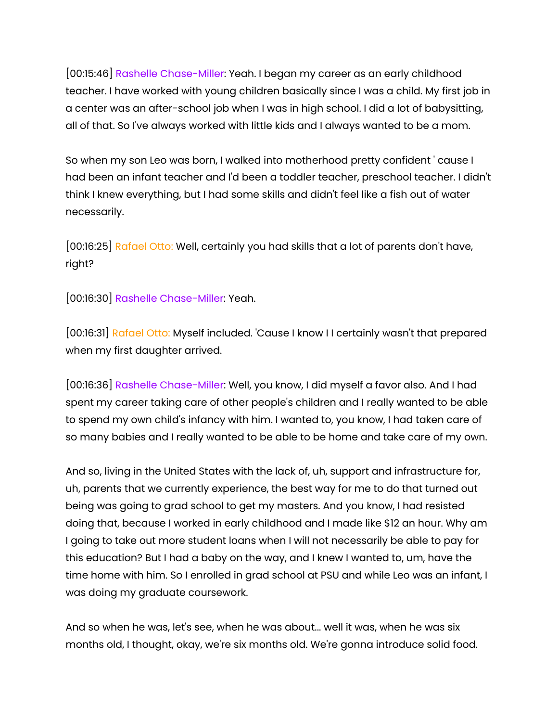[00:15:46] Rashelle Chase-Miller: Yeah. I began my career as an early childhood teacher. I have worked with young children basically since I was a child. My first job in a center was an after-school job when I was in high school. I did a lot of babysitting, all of that. So I've always worked with little kids and I always wanted to be a mom.

So when my son Leo was born, I walked into motherhood pretty confident ' cause I had been an infant teacher and I'd been a toddler teacher, preschool teacher. I didn't think I knew everything, but I had some skills and didn't feel like a fish out of water necessarily.

[00:16:25] Rafael Otto: Well, certainly you had skills that a lot of parents don't have, right?

[00:16:30] Rashelle Chase-Miller: Yeah.

[00:16:31] Rafael Otto: Myself included. 'Cause I know I I certainly wasn't that prepared when my first daughter arrived.

[00:16:36] Rashelle Chase-Miller: Well, you know, I did myself a favor also. And I had spent my career taking care of other people's children and I really wanted to be able to spend my own child's infancy with him. I wanted to, you know, I had taken care of so many babies and I really wanted to be able to be home and take care of my own.

And so, living in the United States with the lack of, uh, support and infrastructure for, uh, parents that we currently experience, the best way for me to do that turned out being was going to grad school to get my masters. And you know, I had resisted doing that, because I worked in early childhood and I made like \$12 an hour. Why am I going to take out more student loans when I will not necessarily be able to pay for this education? But I had a baby on the way, and I knew I wanted to, um, have the time home with him. So I enrolled in grad school at PSU and while Leo was an infant, I was doing my graduate coursework.

And so when he was, let's see, when he was about... well it was, when he was six months old, I thought, okay, we're six months old. We're gonna introduce solid food.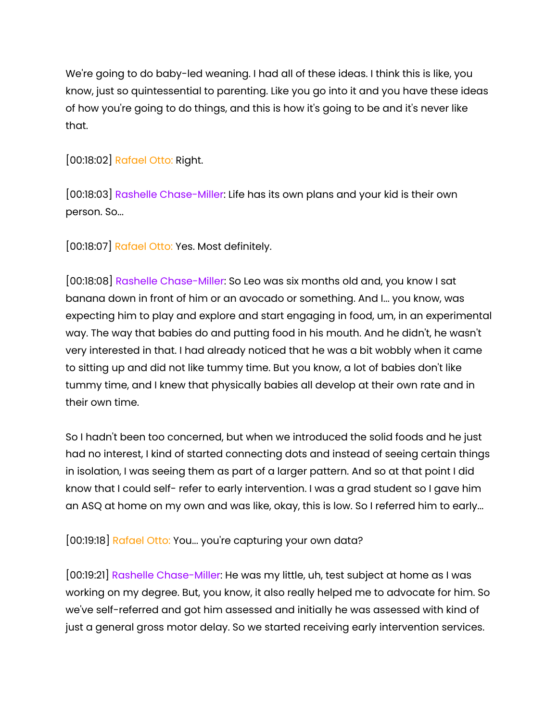We're going to do baby-led weaning. I had all of these ideas. I think this is like, you know, just so quintessential to parenting. Like you go into it and you have these ideas of how you're going to do things, and this is how it's going to be and it's never like that.

[00:18:02] Rafael Otto: Right.

[00:18:03] Rashelle Chase-Miller: Life has its own plans and your kid is their own person. So...

[00:18:07] Rafael Otto: Yes. Most definitely.

[00:18:08] Rashelle Chase-Miller: So Leo was six months old and, you know I sat banana down in front of him or an avocado or something. And I... you know, was expecting him to play and explore and start engaging in food, um, in an experimental way. The way that babies do and putting food in his mouth. And he didn't, he wasn't very interested in that. I had already noticed that he was a bit wobbly when it came to sitting up and did not like tummy time. But you know, a lot of babies don't like tummy time, and I knew that physically babies all develop at their own rate and in their own time.

So I hadn't been too concerned, but when we introduced the solid foods and he just had no interest, I kind of started connecting dots and instead of seeing certain things in isolation, I was seeing them as part of a larger pattern. And so at that point I did know that I could self- refer to early intervention. I was a grad student so I gave him an ASQ at home on my own and was like, okay, this is low. So I referred him to early...

[00:19:18] Rafael Otto: You... you're capturing your own data?

[00:19:21] Rashelle Chase-Miller: He was my little, uh, test subject at home as I was working on my degree. But, you know, it also really helped me to advocate for him. So we've self-referred and got him assessed and initially he was assessed with kind of just a general gross motor delay. So we started receiving early intervention services.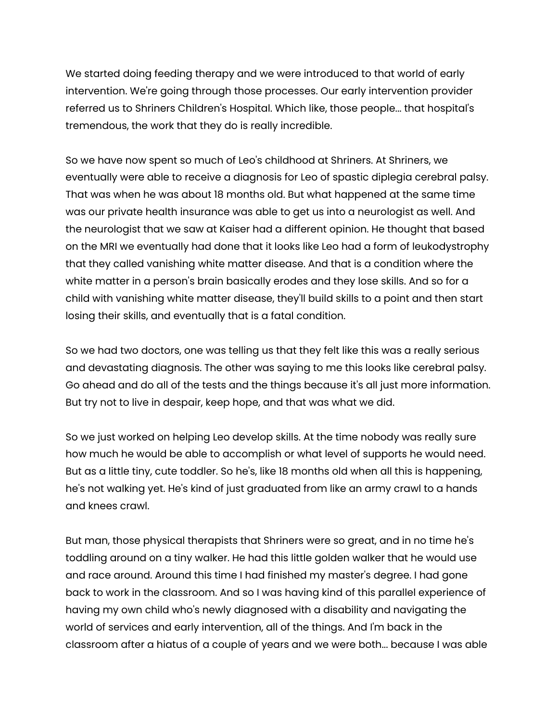We started doing feeding therapy and we were introduced to that world of early intervention. We're going through those processes. Our early intervention provider referred us to Shriners Children's Hospital. Which like, those people... that hospital's tremendous, the work that they do is really incredible.

So we have now spent so much of Leo's childhood at Shriners. At Shriners, we eventually were able to receive a diagnosis for Leo of spastic diplegia cerebral palsy. That was when he was about 18 months old. But what happened at the same time was our private health insurance was able to get us into a neurologist as well. And the neurologist that we saw at Kaiser had a different opinion. He thought that based on the MRI we eventually had done that it looks like Leo had a form of leukodystrophy that they called vanishing white matter disease. And that is a condition where the white matter in a person's brain basically erodes and they lose skills. And so for a child with vanishing white matter disease, they'll build skills to a point and then start losing their skills, and eventually that is a fatal condition.

So we had two doctors, one was telling us that they felt like this was a really serious and devastating diagnosis. The other was saying to me this looks like cerebral palsy. Go ahead and do all of the tests and the things because it's all just more information. But try not to live in despair, keep hope, and that was what we did.

So we just worked on helping Leo develop skills. At the time nobody was really sure how much he would be able to accomplish or what level of supports he would need. But as a little tiny, cute toddler. So he's, like 18 months old when all this is happening, he's not walking yet. He's kind of just graduated from like an army crawl to a hands and knees crawl.

But man, those physical therapists that Shriners were so great, and in no time he's toddling around on a tiny walker. He had this little golden walker that he would use and race around. Around this time I had finished my master's degree. I had gone back to work in the classroom. And so I was having kind of this parallel experience of having my own child who's newly diagnosed with a disability and navigating the world of services and early intervention, all of the things. And I'm back in the classroom after a hiatus of a couple of years and we were both... because I was able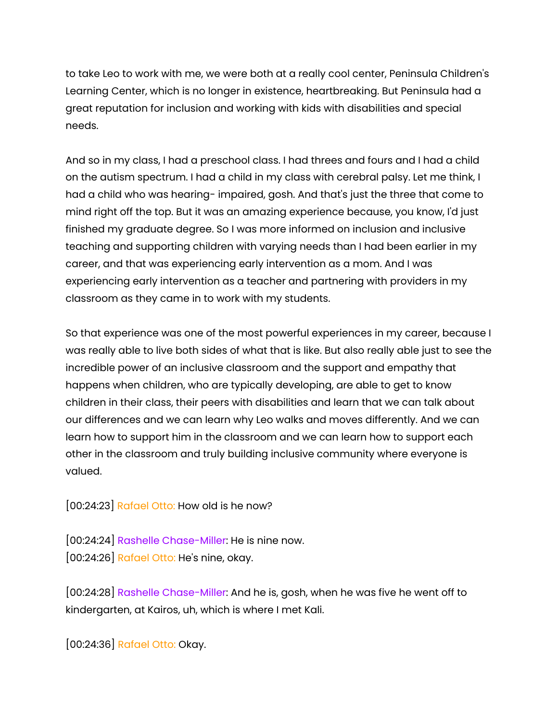to take Leo to work with me, we were both at a really cool center, Peninsula Children's Learning Center, which is no longer in existence, heartbreaking. But Peninsula had a great reputation for inclusion and working with kids with disabilities and special needs.

And so in my class, I had a preschool class. I had threes and fours and I had a child on the autism spectrum. I had a child in my class with cerebral palsy. Let me think, I had a child who was hearing- impaired, gosh. And that's just the three that come to mind right off the top. But it was an amazing experience because, you know, I'd just finished my graduate degree. So I was more informed on inclusion and inclusive teaching and supporting children with varying needs than I had been earlier in my career, and that was experiencing early intervention as a mom. And I was experiencing early intervention as a teacher and partnering with providers in my classroom as they came in to work with my students.

So that experience was one of the most powerful experiences in my career, because I was really able to live both sides of what that is like. But also really able just to see the incredible power of an inclusive classroom and the support and empathy that happens when children, who are typically developing, are able to get to know children in their class, their peers with disabilities and learn that we can talk about our differences and we can learn why Leo walks and moves differently. And we can learn how to support him in the classroom and we can learn how to support each other in the classroom and truly building inclusive community where everyone is valued.

[00:24:23] Rafael Otto: How old is he now?

[00:24:24] Rashelle Chase-Miller: He is nine now. [00:24:26] Rafael Otto: He's nine, okay.

[00:24:28] Rashelle Chase-Miller: And he is, gosh, when he was five he went off to kindergarten, at Kairos, uh, which is where I met Kali.

[00:24:36] Rafael Otto: Okay.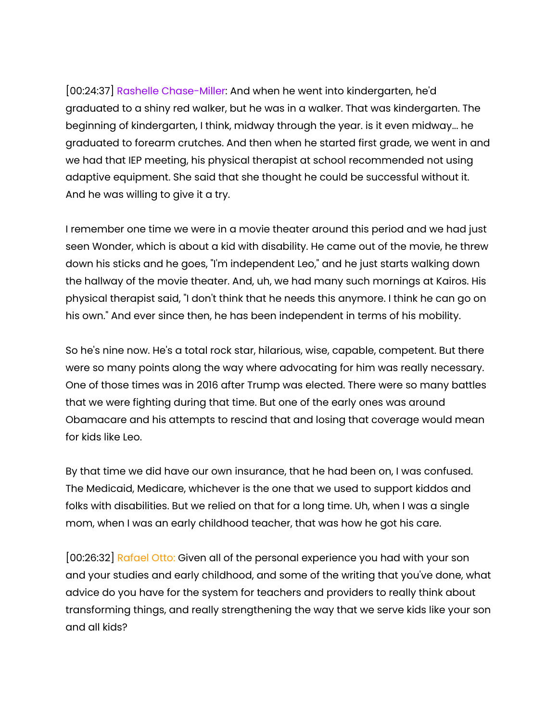[00:24:37] Rashelle Chase-Miller: And when he went into kindergarten, he'd graduated to a shiny red walker, but he was in a walker. That was kindergarten. The beginning of kindergarten, I think, midway through the year. is it even midway... he graduated to forearm crutches. And then when he started first grade, we went in and we had that IEP meeting, his physical therapist at school recommended not using adaptive equipment. She said that she thought he could be successful without it. And he was willing to give it a try.

I remember one time we were in a movie theater around this period and we had just seen Wonder, which is about a kid with disability. He came out of the movie, he threw down his sticks and he goes, "I'm independent Leo," and he just starts walking down the hallway of the movie theater. And, uh, we had many such mornings at Kairos. His physical therapist said, "I don't think that he needs this anymore. I think he can go on his own." And ever since then, he has been independent in terms of his mobility.

So he's nine now. He's a total rock star, hilarious, wise, capable, competent. But there were so many points along the way where advocating for him was really necessary. One of those times was in 2016 after Trump was elected. There were so many battles that we were fighting during that time. But one of the early ones was around Obamacare and his attempts to rescind that and losing that coverage would mean for kids like Leo.

By that time we did have our own insurance, that he had been on, I was confused. The Medicaid, Medicare, whichever is the one that we used to support kiddos and folks with disabilities. But we relied on that for a long time. Uh, when I was a single mom, when I was an early childhood teacher, that was how he got his care.

[00:26:32] Rafael Otto: Given all of the personal experience you had with your son and your studies and early childhood, and some of the writing that you've done, what advice do you have for the system for teachers and providers to really think about transforming things, and really strengthening the way that we serve kids like your son and all kids?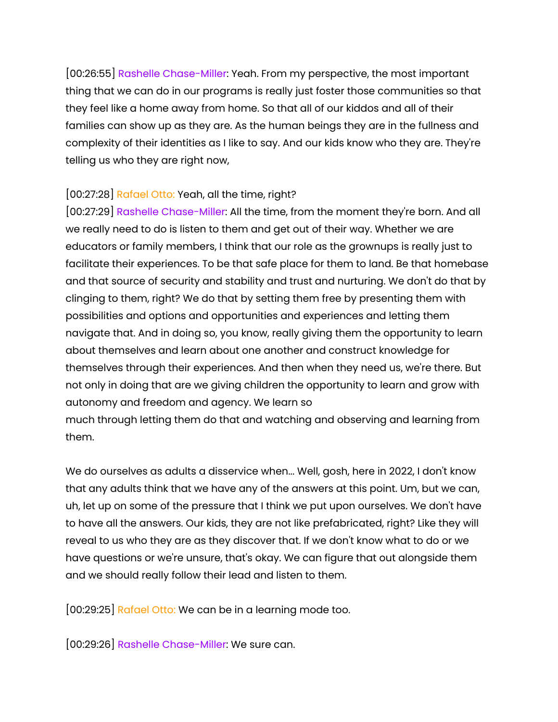[00:26:55] Rashelle Chase-Miller: Yeah. From my perspective, the most important thing that we can do in our programs is really just foster those communities so that they feel like a home away from home. So that all of our kiddos and all of their families can show up as they are. As the human beings they are in the fullness and complexity of their identities as I like to say. And our kids know who they are. They're telling us who they are right now,

## [00:27:28] Rafael Otto: Yeah, all the time, right?

[00:27:29] Rashelle Chase-Miller: All the time, from the moment they're born. And all we really need to do is listen to them and get out of their way. Whether we are educators or family members, I think that our role as the grownups is really just to facilitate their experiences. To be that safe place for them to land. Be that homebase and that source of security and stability and trust and nurturing. We don't do that by clinging to them, right? We do that by setting them free by presenting them with possibilities and options and opportunities and experiences and letting them navigate that. And in doing so, you know, really giving them the opportunity to learn about themselves and learn about one another and construct knowledge for themselves through their experiences. And then when they need us, we're there. But not only in doing that are we giving children the opportunity to learn and grow with autonomy and freedom and agency. We learn so

much through letting them do that and watching and observing and learning from them.

We do ourselves as adults a disservice when... Well, gosh, here in 2022, I don't know that any adults think that we have any of the answers at this point. Um, but we can, uh, let up on some of the pressure that I think we put upon ourselves. We don't have to have all the answers. Our kids, they are not like prefabricated, right? Like they will reveal to us who they are as they discover that. If we don't know what to do or we have questions or we're unsure, that's okay. We can figure that out alongside them and we should really follow their lead and listen to them.

[00:29:25] Rafael Otto: We can be in a learning mode too.

[00:29:26] Rashelle Chase-Miller: We sure can.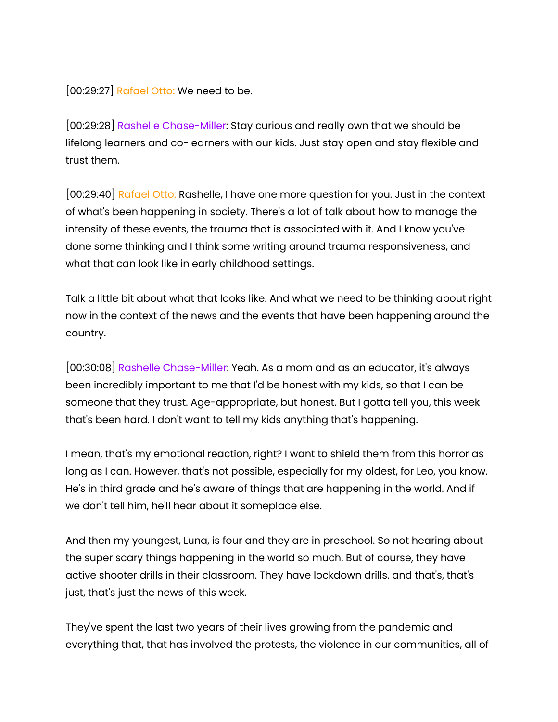[00:29:27] Rafael Otto: We need to be.

[00:29:28] Rashelle Chase-Miller: Stay curious and really own that we should be lifelong learners and co-learners with our kids. Just stay open and stay flexible and trust them.

[00:29:40] Rafael Otto: Rashelle, I have one more question for you. Just in the context of what's been happening in society. There's a lot of talk about how to manage the intensity of these events, the trauma that is associated with it. And I know you've done some thinking and I think some writing around trauma responsiveness, and what that can look like in early childhood settings.

Talk a little bit about what that looks like. And what we need to be thinking about right now in the context of the news and the events that have been happening around the country.

[00:30:08] Rashelle Chase-Miller: Yeah. As a mom and as an educator, it's always been incredibly important to me that I'd be honest with my kids, so that I can be someone that they trust. Age-appropriate, but honest. But I gotta tell you, this week that's been hard. I don't want to tell my kids anything that's happening.

I mean, that's my emotional reaction, right? I want to shield them from this horror as long as I can. However, that's not possible, especially for my oldest, for Leo, you know. He's in third grade and he's aware of things that are happening in the world. And if we don't tell him, he'll hear about it someplace else.

And then my youngest, Luna, is four and they are in preschool. So not hearing about the super scary things happening in the world so much. But of course, they have active shooter drills in their classroom. They have lockdown drills. and that's, that's just, that's just the news of this week.

They've spent the last two years of their lives growing from the pandemic and everything that, that has involved the protests, the violence in our communities, all of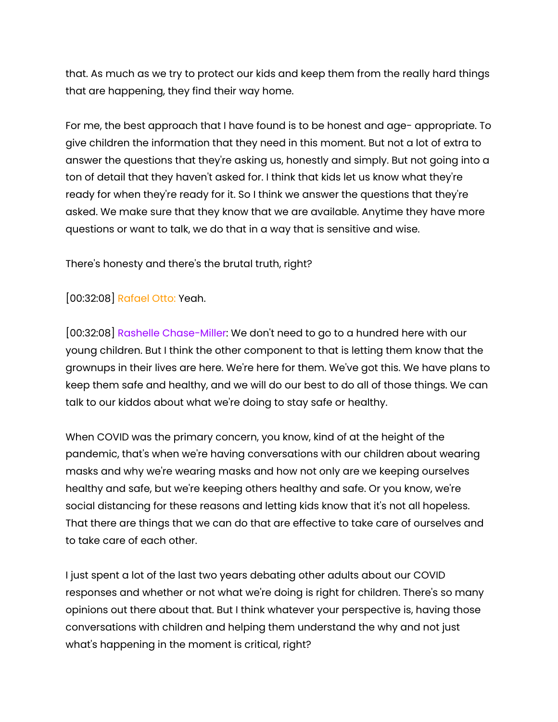that. As much as we try to protect our kids and keep them from the really hard things that are happening, they find their way home.

For me, the best approach that I have found is to be honest and age- appropriate. To give children the information that they need in this moment. But not a lot of extra to answer the questions that they're asking us, honestly and simply. But not going into a ton of detail that they haven't asked for. I think that kids let us know what they're ready for when they're ready for it. So I think we answer the questions that they're asked. We make sure that they know that we are available. Anytime they have more questions or want to talk, we do that in a way that is sensitive and wise.

There's honesty and there's the brutal truth, right?

## [00:32:08] Rafael Otto: Yeah.

[00:32:08] Rashelle Chase-Miller: We don't need to go to a hundred here with our young children. But I think the other component to that is letting them know that the grownups in their lives are here. We're here for them. We've got this. We have plans to keep them safe and healthy, and we will do our best to do all of those things. We can talk to our kiddos about what we're doing to stay safe or healthy.

When COVID was the primary concern, you know, kind of at the height of the pandemic, that's when we're having conversations with our children about wearing masks and why we're wearing masks and how not only are we keeping ourselves healthy and safe, but we're keeping others healthy and safe. Or you know, we're social distancing for these reasons and letting kids know that it's not all hopeless. That there are things that we can do that are effective to take care of ourselves and to take care of each other.

I just spent a lot of the last two years debating other adults about our COVID responses and whether or not what we're doing is right for children. There's so many opinions out there about that. But I think whatever your perspective is, having those conversations with children and helping them understand the why and not just what's happening in the moment is critical, right?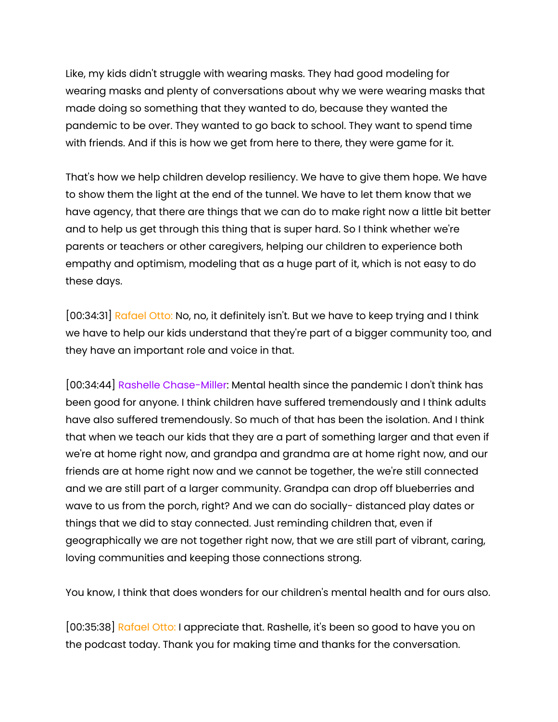Like, my kids didn't struggle with wearing masks. They had good modeling for wearing masks and plenty of conversations about why we were wearing masks that made doing so something that they wanted to do, because they wanted the pandemic to be over. They wanted to go back to school. They want to spend time with friends. And if this is how we get from here to there, they were game for it.

That's how we help children develop resiliency. We have to give them hope. We have to show them the light at the end of the tunnel. We have to let them know that we have agency, that there are things that we can do to make right now a little bit better and to help us get through this thing that is super hard. So I think whether we're parents or teachers or other caregivers, helping our children to experience both empathy and optimism, modeling that as a huge part of it, which is not easy to do these days.

[00:34:31] Rafael Otto: No, no, it definitely isn't. But we have to keep trying and I think we have to help our kids understand that they're part of a bigger community too, and they have an important role and voice in that.

[00:34:44] Rashelle Chase-Miller: Mental health since the pandemic I don't think has been good for anyone. I think children have suffered tremendously and I think adults have also suffered tremendously. So much of that has been the isolation. And I think that when we teach our kids that they are a part of something larger and that even if we're at home right now, and grandpa and grandma are at home right now, and our friends are at home right now and we cannot be together, the we're still connected and we are still part of a larger community. Grandpa can drop off blueberries and wave to us from the porch, right? And we can do socially- distanced play dates or things that we did to stay connected. Just reminding children that, even if geographically we are not together right now, that we are still part of vibrant, caring, loving communities and keeping those connections strong.

You know, I think that does wonders for our children's mental health and for ours also.

[00:35:38] Rafael Otto: I appreciate that. Rashelle, it's been so good to have you on the podcast today. Thank you for making time and thanks for the conversation.